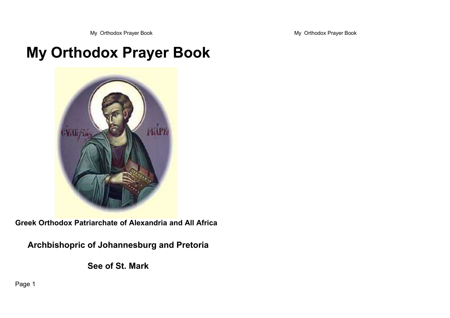My Orthodox Prayer Book and The Second My Orthodox Prayer Book

# **My Orthodox Prayer Book**



**Greek Orthodox Patriarchate of Alexandria and All Africa**

**Archbishopric of Johannesburg and Pretoria**

**See of St. Mark**

Page 1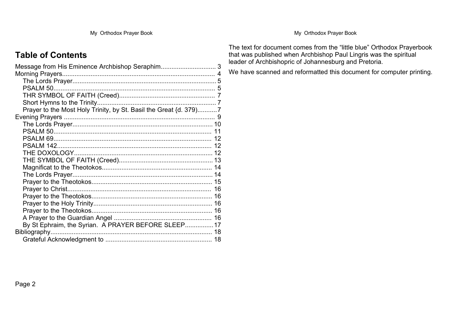My Orthodox Prayer Book and The State of the My Orthodox Prayer Book

## **Table of Contents**

| Message from His Eminence Archbishop Seraphim 3                   |  |
|-------------------------------------------------------------------|--|
|                                                                   |  |
|                                                                   |  |
|                                                                   |  |
|                                                                   |  |
|                                                                   |  |
| Prayer to the Most Holy Trinity, by St. Basil the Great {d. 379)7 |  |
|                                                                   |  |
|                                                                   |  |
|                                                                   |  |
|                                                                   |  |
|                                                                   |  |
|                                                                   |  |
|                                                                   |  |
|                                                                   |  |
|                                                                   |  |
|                                                                   |  |
|                                                                   |  |
|                                                                   |  |
|                                                                   |  |
|                                                                   |  |
|                                                                   |  |
| By St Ephraim, the Syrian. A PRAYER BEFORE SLEEP 17               |  |
| Bibliography                                                      |  |
|                                                                   |  |
|                                                                   |  |

The text for document comes from the "little blue" Orthodox Prayerbook that was published when Archbishop Paul Lingris was the spiritual leader of Archbishopric of Johannesburg and Pretoria.

We have scanned and reformatted this document for computer printing.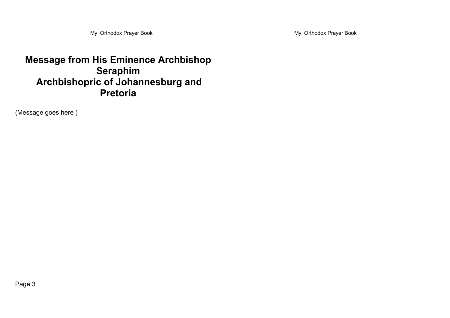My Orthodox Prayer Book and The State of the My Orthodox Prayer Book

## **Message from His Eminence Archbishop Seraphim Archbishopric of Johannesburg and Pretoria**

(Message goes here )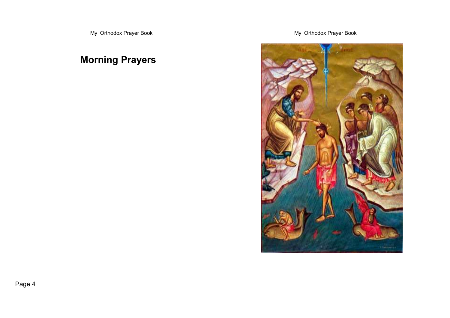## **Morning Prayers**

My Orthodox Prayer Book and the state of the My Orthodox Prayer Book



Page 4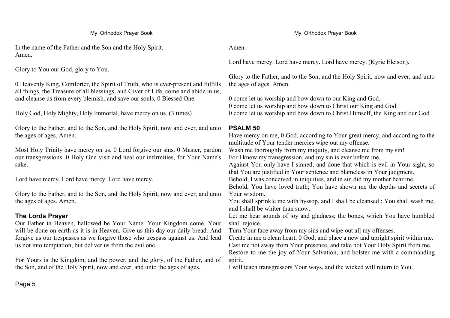My Orthodox Prayer Book **My Orthodox Prayer Book** My Orthodox Prayer Book

In the name of the Father and the Son and the Holy Spirit. Amen.

Glory to You our God, glory to You.

0 Heavenly King, Comforter, the Spirit of Truth, who is ever-present and fulfills all things, the Treasure of all blessings, and Giver of Life, come and abide in us, and cleanse us from every blemish. and save our souls, 0 Blessed One.

Holy God, Holy Mighty, Holy Immortal, have mercy on us. (3 times)

Glory to the Father, and to the Son, and the Holy Spirit, now and ever, and unto the ages of ages. Amen.

Most Holy Trinity have mercy on us. 0 Lord forgive our sins. 0 Master, pardon our transgressions. 0 Holy One visit and heal our infirmities, for Your Name's sake.

Lord have mercy. Lord have mercy. Lord have mercy.

Glory to the Father, and to the Son, and the Holy Spirit, now and ever, and unto the ages of ages. Amen.

#### **The Lords Prayer**

Our Father in Heaven, hallowed be Your Name. Your Kingdom come. Your will be done on earth as it is in Heaven. Give us this day our daily bread. And forgive us our trespasses as we forgive those who trespass against us. And lead us not into temptation, but deliver us from the evil one.

For Yours is the Kingdom, and the power, and the glory, of the Father, and of the Son, and of the Holy Spirit, now and ever, and unto the ages of ages.

Amen.

Lord have mercy. Lord have mercy. Lord have mercy. (Kyrie Eleison).

Glory to the Father, and to the Son, and the Holy Spirit, now and ever, and unto the ages of ages. Amen.

0 come let us worship and bow down to our King and God. 0 come let us worship and bow down to Christ our King and God. 0 come let us worship and bow down to Christ Himself, the King and our God.

#### **PSALM 50**

Have mercy on me, 0 God, according to Your great mercy, and according to the multitude of Your tender mercies wipe out my offense. Wash me thoroughly from my iniquity, and cleanse me from my sin! For I know my transgression, and my sin is ever before me. Against You only have I sinned, and done that which is evil in Your sight, so that You are justified in Your sentence and blameless in Your judgment. Behold, I was conceived in iniquities, and in sin did my mother bear me. Behold, You have loved truth; You have shown me the depths and secrets of Your wisdom. You shall sprinkle me with hyssop, and I shall be cleansed ; You shall wash me,

and I shall be whiter than snow. Let me hear sounds of joy and gladness; the bones, which You have humbled shall rejoice.

Turn Your face away from my sins and wipe out all my offenses.

Create in me a clean heart, 0 God, and place a new and upright spirit within me. Cast me not away from Your presence, and take not Your Holy Spirit from me. Restore to me the joy of Your Salvation, and bolster me with a commanding spirit.

I will teach transgressors Your ways, and the wicked will return to You.

Page 5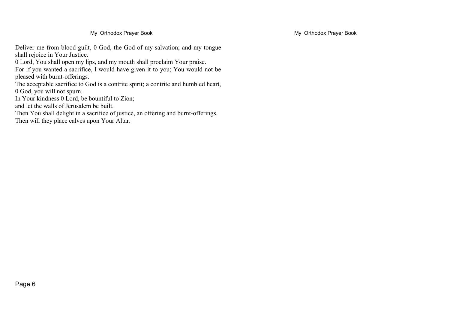Deliver me from blood-guilt, 0 God, the God of my salvation; and my tongue shall rejoice in Your Justice.

0 Lord, You shall open my lips, and my mouth shall proclaim Your praise.

For if you wanted a sacrifice, I would have given it to you; You would not be pleased with burnt-offerings.

The acceptable sacrifice to God is a contrite spirit; a contrite and humbled heart, 0 God, you will not spurn.

In Your kindness 0 Lord, be bountiful to Zion;

and let the walls of Jerusalem be built.

Then You shall delight in a sacrifice of justice, an offering and burnt-offerings.

Then will they place calves upon Your Altar.

My Orthodox Prayer Book My Orthodox Prayer Book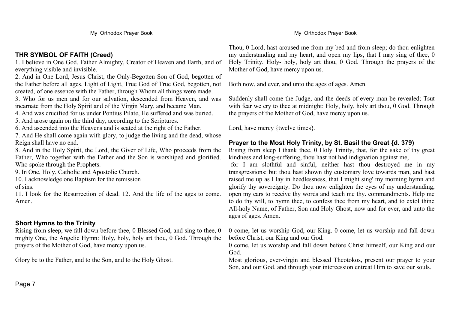#### **THR SYMBOL OF FAITH (Creed)**

1. I believe in One God. Father Almighty, Creator of Heaven and Earth, and of everything visible and invisible.

2. And in One Lord, Jesus Christ, the Only-Begotten Son of God, begotten of the Father before all ages. Light of Light, True God of True God, begotten, not created, of one essence with the Father, through Whom all things were made.

3. Who for us men and for our salvation, descended from Heaven, and was incarnate from the Holy Spirit and of the Virgin Mary, and became Man.

4. And was crucified for us under Pontius Pilate, He suffered and was buried.

5. And arose again on the third day, according to the Scriptures.

6. And ascended into the Heavens and is seated at the right of the Father.

7. And He shall come again with glory, to judge the living and the dead, whose Reign shall have no end.

8. And in the Holy Spirit, the Lord, the Giver of Life, Who proceeds from the Father, Who together with the Father and the Son is worshiped and glorified. Who spoke through the Prophets.

9. In One, Holy, Catholic and Apostolic Church.

10. I acknowledge one Baptism for the remission

of sins.

11. I look for the Resurrection of dead. 12. And the life of the ages to come. Amen.

#### **Short Hymns to the Trinity**

Rising from sleep, we fall down before thee, 0 Blessed God, and sing to thee, 0 mighty One, the Angelic Hymn: Holy, holy, holy art thou, 0 God. Through the prayers of the Mother of God, have mercy upon us.

Glory be to the Father, and to the Son, and to the Holy Ghost.

Thou, 0 Lord, hast aroused me from my bed and from sleep; do thou enlighten my understanding and my heart, and open my lips, that I may sing of thee, 0 Holy Trinity. Holy- holy, holy art thou, 0 God. Through the prayers of the Mother of God, have mercy upon us.

Both now, and ever, and unto the ages of ages. Amen.

Suddenly shall come the Judge, and the deeds of every man be revealed; Tsut with fear we cry to thee at midnight: Holy, holy, holy art thou, 0 God. Through the prayers of the Mother of God, have mercy upon us.

Lord, have mercy {twelve times}.

#### **Prayer to the Most Holy Trinity, by St. Basil the Great {d. 379)**

Rising from sleep I thank thee, 0 Holy Trinity, that, for the sake of thy great kindness and long-suffering, thou hast not had indignation against me, -for I am slothful and sinful, neither hast thou destroyed me in my transgressions: but thou hast shown thy customary love towards man, and hast raised me up as I lay in heedlessness, that I might sing' my morning hymn and glorify thy sovereignty. Do thou now enlighten the eyes of my understanding, open my cars to receive thy words and teach me thy. commandments. Help me to do thy will, to hymn thee, to confess thee from my heart, and to extol thine All-holy Name, of Father, Son and Holy Ghost, now and for ever, and unto the ages of ages. Amen.

0 come, let us worship God, our King. 0 come, let us worship and fall down before Christ, our King and our God.

0 come, let us worship and fall down before Christ himself, our King and our God.

Most glorious, ever-virgin and blessed Theotokos, present our prayer to your Son, and our God. and through your intercession entreat Him to save our souls.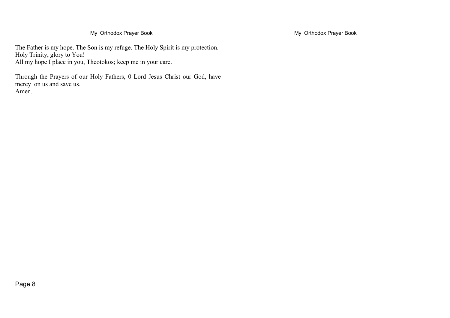The Father is my hope. The Son is my refuge. The Holy Spirit is my protection. Holy Trinity, glory to You! All my hope I place in you, Theotokos; keep me in your care.

Through the Prayers of our Holy Fathers, 0 Lord Jesus Christ our God, have mercy on us and save us. Amen.

My Orthodox Prayer Book **My Orthodox Prayer Book** My Orthodox Prayer Book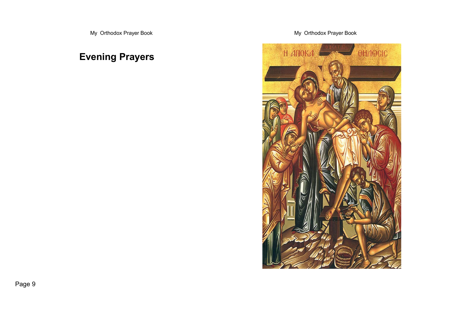## **Evening Prayers**

My Orthodox Prayer Book and The State of the My Orthodox Prayer Book

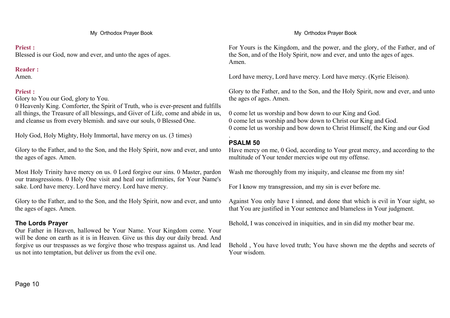#### **Priest :**

Blessed is our God, now and ever, and unto the ages of ages.

#### **Reader :**

Amen.

### **Priest :**

Glory to You our God, glory to You.

0 Heavenly King. Comforter, the Spirit of Truth, who is ever-present and fulfills all things, the Treasure of all blessings, and Giver of Life, come and abide in us, and cleanse us from every blemish. and save our souls, 0 Blessed One.

Holy God, Holy Mighty, Holy Immortal, have mercy on us. (3 times)

Glory to the Father, and to the Son, and the Holy Spirit, now and ever, and unto the ages of ages. Amen.

Most Holy Trinity have mercy on us. 0 Lord forgive our sins. 0 Master, pardon our transgressions. 0 Holy One visit and heal our infirmities, for Your Name's sake. Lord have mercy. Lord have mercy. Lord have mercy.

Glory to the Father, and to the Son, and the Holy Spirit, now and ever, and unto the ages of ages. Amen.

### **The Lords Prayer**

Our Father in Heaven, hallowed be Your Name. Your Kingdom come. Your will be done on earth as it is in Heaven. Give us this day our daily bread. And forgive us our trespasses as we forgive those who trespass against us. And lead us not into temptation, but deliver us from the evil one.

For Yours is the Kingdom, and the power, and the glory, of the Father, and of the Son, and of the Holy Spirit, now and ever, and unto the ages of ages. Amen.

Lord have mercy, Lord have mercy. Lord have mercy. (Kyrie Eleison).

Glory to the Father, and to the Son, and the Holy Spirit, now and ever, and unto the ages of ages. Amen.

0 come let us worship and bow down to our King and God. 0 come let us worship and bow down to Christ our King and God. 0 come let us worship and bow down to Christ Himself, the King and our God

#### . **PSALM 50**

Have mercy on me, 0 God, according to Your great mercy, and according to the multitude of Your tender mercies wipe out my offense.

Wash me thoroughly from my iniquity, and cleanse me from my sin!

For I know my transgression, and my sin is ever before me.

Against You only have I sinned, and done that which is evil in Your sight, so that You are justified in Your sentence and blameless in Your judgment.

Behold, I was conceived in iniquities, and in sin did my mother bear me.

Behold , You have loved truth; You have shown me the depths and secrets of Your wisdom.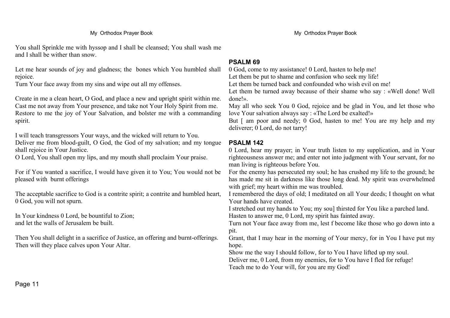You shall Sprinkle me with hyssop and I shall be cleansed; You shall wash me and I shall be wither than snow.

Let me hear sounds of joy and gladness; the bones which You humbled shall rejoice.

Turn Your face away from my sins and wipe out all my offenses.

Create in me a clean heart, O God, and place a new and upright spirit within me. Cast me not away from Your presence, and take not Your Holy Spirit from me. Restore to me the joy of Your Salvation, and bolster me with a commanding spirit.

I will teach transgressors Your ways, and the wicked will return to You. Deliver me from blood-guilt, O God, the God of my salvation; and my tongue shall rejoice in Your Justice.

O Lord, You shall open my lips, and my mouth shall proclaim Your praise.

For if You wanted a sacrifice, I would have given it to You; You would not be pleased with burnt offerings

The acceptable sacrifice to God is a contrite spirit; a contrite and humbled heart, 0 God, you will not spurn.

In Your kindness 0 Lord, be bountiful to Zion; and let the walls of Jerusalem be built.

Then You shall delight in a sacrifice of Justice, an offering and burnt-offerings. Then will they place calves upon Your Altar.

#### **PSALM 69**

0 God, come to my assistance! 0 Lord, hasten to help me! Let them be put to shame and confusion who seek my life!

Let them be turned back and confounded who wish evil on me!

Let them be turned away because of their shame who say : «Well done! Well done!».

May all who seek You 0 God, rejoice and be glad in You, and let those who love Your salvation always say : «The Lord be exalted!»

But [ am poor and needy; 0 God, hasten to me! You are my help and my deliverer; 0 Lord, do not tarry!

#### **PSALM 142**

0 Lord, hear my prayer; in Your truth listen to my supplication, and in Your righteousness answer me; and enter not into judgment with Your servant, for no man living is righteous before You.

For the enemy has persecuted my soul; he has crushed my life to the ground; he has made me sit in darkness like those long dead. My spirit was overwhelmed with grief; my heart within me was troubled.

I remembered the days of old; I meditated on all Your deeds; I thought on what Your hands have created.

I stretched out my hands to You; my sou] thirsted for You like a parched land. Hasten to answer me, 0 Lord, my spirit has fainted away.

Turn not Your face away from me, lest f become like those who go down into a pit.

Grant, that I may hear in the morning of Your mercy, for in You I have put my hope.

Show me the way I should follow, for to You I have lifted up my soul.

Deliver me, 0 Lord, from my enemies, for to You have I fled for refuge! Teach me to do Your will, for you are my God!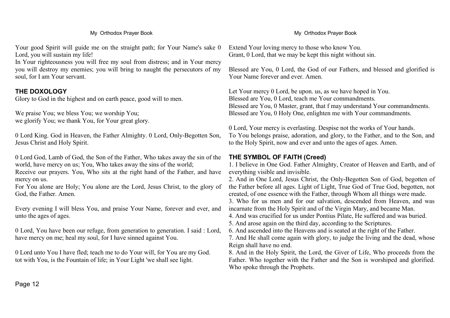Your good Spirit will guide me on the straight path; for Your Name's sake 0 Lord, you will sustain my life!

In Your righteousness you will free my soul from distress; and in Your mercy you will destroy my enemies; you will bring to naught the persecutors of my soul, for I am Your servant.

#### **THE DOXOLOGY**

Glory to God in the highest and on earth peace, good will to men.

We praise You; we bless You; we worship You; we glorify You; we thank You, for Your great glory.

0 Lord King. God in Heaven, the Father Almighty. 0 Lord, Only-Begotten Son, Jesus Christ and Holy Spirit.

0 Lord God, Lamb of God, the Son of the Father, Who takes away the sin of the world, have mercy on us; You, Who takes away the sins of the world;

Receive our prayers. You, Who sits at the right hand of the Father, and have mercy on us.

For You alone are Holy; You alone are the Lord, Jesus Christ, to the glory of God, the Father. Amen.

Every evening I will bless You, and praise Your Name, forever and ever, and unto the ages of ages.

0 Lord, You have been our refuge, from generation to generation. I said : Lord, have mercy on me; heal my soul, for I have sinned against You.

0 Lord unto You I have fled; teach me to do Your will, for You are my God. tot with You, is the Fountain of life; in Your Light 'we shall see light.

Extend Your loving mercy to those who know You. Grant, 0 Lord, that we may be kept this night without sin.

Blessed are You, 0 Lord, the God of our Fathers, and blessed and glorified is Your Name forever and ever. Amen.

Let Your mercy 0 Lord, be upon. us, as we have hoped in You. Blessed are You, 0 Lord, teach me Your commandments. Blessed are You, 0 Master, grant, that f may understand Your commandments. Blessed are You, 0 Holy One, enlighten me with Your commandments.

0 Lord, Your mercy is everlasting. Despise not the works of Your hands. To You belongs praise, adoration, and glory, to the Father, and to the Son, and to the Holy Spirit, now and ever and unto the ages of ages. Amen.

#### **THE SYMBOL OF FAITH (Creed)**

1. I believe in One God. Father Almighty, Creator of Heaven and Earth, and of everything visible and invisible.

2. And in One Lord, Jesus Christ, the Only-Begotten Son of God, begotten of the Father before all ages. Light of Light, True God of True God, begotten, not created, of one essence with the Father, through Whom all things were made.

3. Who for us men and for our salvation, descended from Heaven, and was incarnate from the Holy Spirit and of the Virgin Mary, and became Man.

4. And was crucified for us under Pontius Pilate, He suffered and was buried.

5. And arose again on the third day, according to the Scriptures.

6. And ascended into the Heavens and is seated at the right of the Father.

7. And He shall come again with glory, to judge the living and the dead, whose Reign shall have no end.

8. And in the Holy Spirit, the Lord, the Giver of Life, Who proceeds from the Father. Who together with the Father and the Son is worshiped and glorified. Who spoke through the Prophets.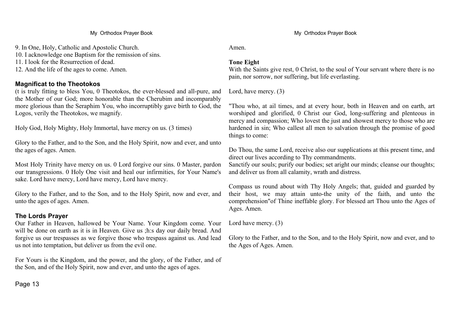#### My Orthodox Prayer Book **My Orthodox Prayer Book** My Orthodox Prayer Book

9. In One, Holy, Catholic and Apostolic Church.

10. I acknowledge one Baptism for the remission of sins.

11. I look for the Resurrection of dead.

12. And the life of the ages to come. Amen.

#### **Magnificat to the Theotokos**

(t is truly fitting to bless You, 0 Theotokos, the ever-blessed and all-pure, and the Mother of our God; more honorable than the Cherubim and incomparably more glorious than the Seraphim You, who incorruptibly gave birth to God, the Logos, verily the Theotokos, we magnify.

Holy God, Holy Mighty, Holy Immortal, have mercy on us. (3 times)

Glory to the Father, and to the Son, and the Holy Spirit, now and ever, and unto the ages of ages. Amen.

Most Holy Trinity have mercy on us. 0 Lord forgive our sins. 0 Master, pardon our transgressions. 0 Holy One visit and heal our infirmities, for Your Name's sake. Lord have mercy, Lord have mercy, Lord have mercy.

Glory to the Father, and to the Son, and to the Holy Spirit, now and ever, and unto the ages of ages. Amen.

#### **The Lords Prayer**

Our Father in Heaven, hallowed be Your Name. Your Kingdom come. Your will be done on earth as it is in Heaven. Give us ;h:s day our daily bread. And forgive us our trespasses as we forgive those who trespass against us. And lead us not into temptation, but deliver us from the evil one.

For Yours is the Kingdom, and the power, and the glory, of the Father, and of the Son, and of the Holy Spirit, now and ever, and unto the ages of ages.

Page 13

Amen.

#### **Tone Eight**

With the Saints give rest, 0 Christ, to the soul of Your servant where there is no pain, nor sorrow, nor suffering, but life everlasting.

Lord, have mercy. (3)

"Thou who, at ail times, and at every hour, both in Heaven and on earth, art worshiped and glorified, 0 Christ our God, long-suffering and plenteous in mercy and compassion; Who lovest the just and showest mercy to those who are hardened in sin; Who callest all men to salvation through the promise of good things to come:

Do Thou, the same Lord, receive also our supplications at this present time, and direct our lives according to Thy commandments.

Sanctify our souls; purify our bodies; set aright our minds; cleanse our thoughts; and deliver us from all calamity, wrath and distress.

Compass us round about with Thy Holy Angels; that, guided and guarded by their host, we may attain unto-the unity of the faith, and unto the comprehension"of Thine ineffable glory. For blessed art Thou unto the Ages of Ages. Amen.

Lord have mercy. (3)

Glory to the Father, and to the Son, and to the Holy Spirit, now and ever, and to the Ages of Ages. Amen.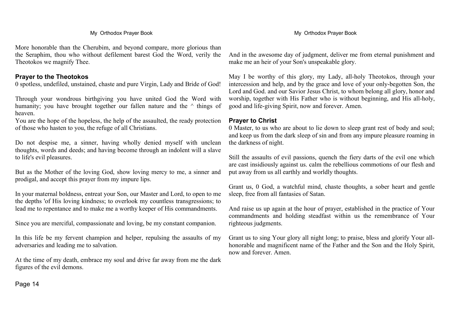More honorable than the Cherubim, and beyond compare, more glorious than the Seraphim, thou who without defilement barest God the Word, verily the Theotokos we magnify Thee.

#### **Prayer to the Theotokos**

0 spotless, undefiled, unstained, chaste and pure Virgin, Lady and Bride of God!

Through your wondrous birthgiving you have united God the Word with humanity; you have brought together our fallen nature and the  $\land$  things of heaven.

You are the hope of the hopeless, the help of the assaulted, the ready protection of those who hasten to you, the refuge of all Christians.

Do not despise me, a sinner, having wholly denied myself with unclean thoughts, words and deeds; and having become through an indolent will a slave to life's evil pleasures.

But as the Mother of the loving God, show loving mercy to me, a sinner and prodigal, and accept this prayer from my impure lips.

In your maternal boldness, entreat your Son, our Master and Lord, to open to me the depths 'of His loving kindness; to overlook my countless transgressions; to lead me to repentance and to make me a worthy keeper of His commandments.

Since you are merciful, compassionate and loving, be my constant companion.

In this life be my fervent champion and helper, repulsing the assaults of my adversaries and leading me to salvation.

At the time of my death, embrace my soul and drive far away from me the dark figures of the evil demons.

#### My Orthodox Prayer Book **My Orthodox Prayer Book** My Orthodox Prayer Book

And in the awesome day of judgment, deliver me from eternal punishment and make me an heir of your Son's unspeakable glory.

May I be worthy of this glory, my Lady, all-holy Theotokos, through your intercession and help, and by the grace and love of your only-begotten Son, the Lord and God. and our Savior Jesus Christ, to whom belong all glory, honor and worship, together with His Father who is without beginning, and His all-holy, good and life-giving Spirit, now and forever. Amen.

#### **Prayer to Christ**

0 Master, to us who are about to lie down to sleep grant rest of body and soul; and keep us from the dark sleep of sin and from any impure pleasure roaming in the darkness of night.

Still the assaults of evil passions, quench the fiery darts of the evil one which are cast insidiously against us. calm the rebellious commotions of our flesh and put away from us all earthly and worldly thoughts.

Grant us, 0 God, a watchful mind, chaste thoughts, a sober heart and gentle sleep, free from all fantasies of Satan.

And raise us up again at the hour of prayer, established in the practice of Your commandments and holding steadfast within us the remembrance of Your righteous judgments.

Grant us to sing Your glory all night long; to praise, bless and glorify Your allhonorable and magnificent name of the Father and the Son and the Holy Spirit, now and forever. Amen.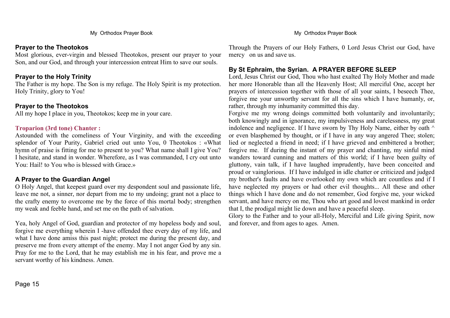#### **Prayer to the Theotokos**

Most glorious, ever-virgin and blessed Theotokos, present our prayer to your Son, and our God, and through your intercession entreat Him to save our souls.

#### **Prayer to the Holy Trinity**

The Father is my hope. The Son is my refuge. The Holy Spirit is my protection. Holy Trinity, glory to You!

#### **Prayer to the Theotokos**

All my hope I place in you, Theotokos; keep me in your care.

#### **Troparion (3rd tone) Chanter :**

Astounded with the comeliness of Your Virginity, and with the exceeding splendor of Your Purity, Gabriel cried out unto You, 0 Theotokos : «What hymn of praise is fitting for me to present to you? What name shall I give You? I hesitate, and stand in wonder. Wherefore, as I was commanded, I cry out unto You: Hail! to You who is blessed with Grace.»

#### **A Prayer to the Guardian Angel**

O Holy Angel, that keepest guard over my despondent soul and passionate life, leave me not, a sinner, nor depart from me to my undoing; grant not a place to the crafty enemy to overcome me by the force of this mortal body; strengthen my weak and feeble hand, and set me on the path of salvation.

Yea, holy Angel of God, guardian and protector of my hopeless body and soul, forgive me everything wherein I -have offended thee every day of my life, and what I have done amiss this past night; protect me during the present day, and preserve me from every attempt of the enemy. May I not anger God by any sin. Pray for me to the Lord, that he may establish me in his fear, and prove me a servant worthy of his kindness. Amen.

Page 15

My Orthodox Prayer Book **My Orthodox Prayer Book** My Orthodox Prayer Book

Through the Prayers of our Holy Fathers, 0 Lord Jesus Christ our God, have mercy on us and save us.

#### **By St Ephraim, the Syrian. A PRAYER BEFORE SLEEP**

Lord, Jesus Christ our God, Thou who hast exalted Thy Holy Mother and made her more Honorable than all the Heavenly Host; All merciful One, accept her prayers of intercession together with those of all your saints, I beseech Thee, forgive me your unworthy servant for all the sins which I have humanly, or, rather, through my inhumanity committed this day.

Forgive me my wrong doings committed both voluntarily and involuntarily; both knowingly and in ignorance, my impulsiveness and carelessness, my great indolence and negligence. If I have sworn by Thy Holy Name, either by oath ^ or even blasphemed by thought, or if I have in any way angered Thee; stolen; lied or neglected a friend in need; if I have grieved and embittered a brother; forgive me. If during the instant of my prayer and chanting, my sinful mind wanders toward cunning and matters of this world; if I have been guilty of gluttony, vain talk, if I have laughed imprudently, have been conceited and proud or vainglorious. If I have indulged in idle chatter or criticized and judged my brother's faults and have overlooked my own which are countless and if I have neglected my prayers or had other evil thoughts... All these and other things which I have done and do not remember, God forgive me, your wicked servant, and have mercy on me, Thou who art good and lovest mankind in order that I, the prodigal might lie down and have a peaceful sleep.

Glory to the Father and to your all-Holy, Merciful and Life giving Spirit, now and forever, and from ages to ages. Amen.